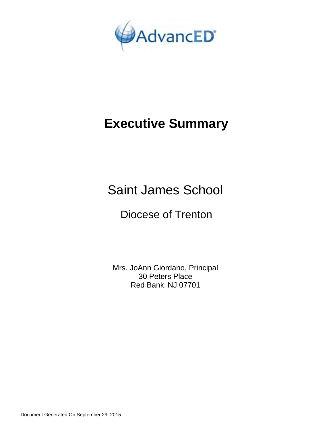

# **Executive Summary**

Saint James School

## Diocese of Trenton

Mrs. JoAnn Giordano, Principal 30 Peters Place Red Bank, NJ 07701

Document Generated On September 29, 2015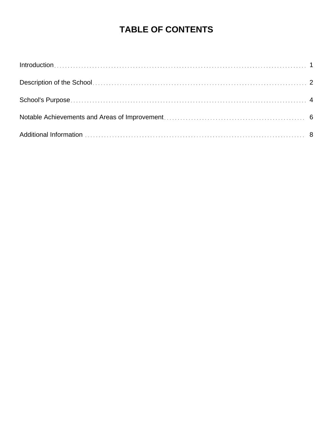## **TABLE OF CONTENTS**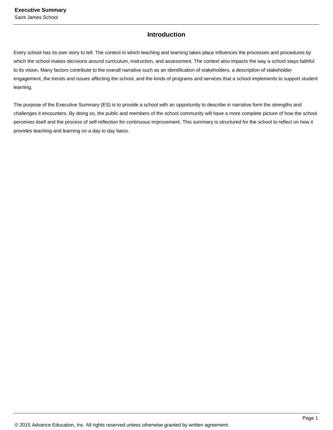## **Introduction**

Every school has its own story to tell. The context in which teaching and learning takes place influences the processes and procedures by which the school makes decisions around curriculum, instruction, and assessment. The context also impacts the way a school stays faithful to its vision. Many factors contribute to the overall narrative such as an identification of stakeholders, a description of stakeholder engagement, the trends and issues affecting the school, and the kinds of programs and services that a school implements to support student learning.

The purpose of the Executive Summary (ES) is to provide a school with an opportunity to describe in narrative form the strengths and challenges it encounters. By doing so, the public and members of the school community will have a more complete picture of how the school perceives itself and the process of self-reflection for continuous improvement. This summary is structured for the school to reflect on how it provides teaching and learning on a day to day basis.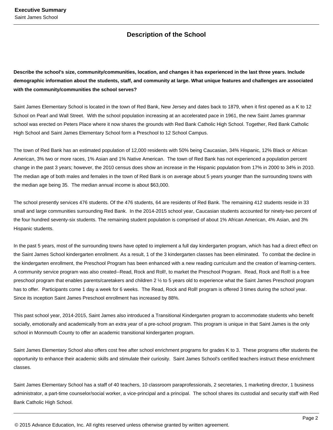## **Description of the School**

**Describe the school's size, community/communities, location, and changes it has experienced in the last three years. Include demographic information about the students, staff, and community at large. What unique features and challenges are associated with the community/communities the school serves?**

Saint James Elementary School is located in the town of Red Bank, New Jersey and dates back to 1879, when it first opened as a K to 12 School on Pearl and Wall Street. With the school population increasing at an accelerated pace in 1961, the new Saint James grammar school was erected on Peters Place where it now shares the grounds with Red Bank Catholic High School. Together, Red Bank Catholic High School and Saint James Elementary School form a Preschool to 12 School Campus.

The town of Red Bank has an estimated population of 12,000 residents with 50% being Caucasian, 34% Hispanic, 12% Black or African American, 3% two or more races, 1% Asian and 1% Native American. The town of Red Bank has not experienced a population percent change in the past 3 years; however, the 2010 census does show an increase in the Hispanic population from 17% in 2000 to 34% in 2010. The median age of both males and females in the town of Red Bank is on average about 5 years younger than the surrounding towns with the median age being 35. The median annual income is about \$63,000.

The school presently services 476 students. Of the 476 students, 64 are residents of Red Bank. The remaining 412 students reside in 33 small and large communities surrounding Red Bank. In the 2014-2015 school year, Caucasian students accounted for ninety-two percent of the four hundred seventy-six students. The remaining student population is comprised of about 1% African American, 4% Asian, and 3% Hispanic students.

In the past 5 years, most of the surrounding towns have opted to implement a full day kindergarten program, which has had a direct effect on the Saint James School kindergarten enrollment. As a result, 1 of the 3 kindergarten classes has been eliminated. To combat the decline in the kindergarten enrollment, the Preschool Program has been enhanced with a new reading curriculum and the creation of learning-centers. A community service program was also created--Read, Rock and Roll!, to market the Preschool Program. Read, Rock and Roll! is a free preschool program that enables parents/caretakers and children 2 ½ to 5 years old to experience what the Saint James Preschool program has to offer. Participants come 1 day a week for 6 weeks. The Read, Rock and Roll! program is offered 3 times during the school year. Since its inception Saint James Preschool enrollment has increased by 88%.

This past school year, 2014-2015, Saint James also introduced a Transitional Kindergarten program to accommodate students who benefit socially, emotionally and academically from an extra year of a pre-school program. This program is unique in that Saint James is the only school in Monmouth County to offer an academic transitional kindergarten program.

Saint James Elementary School also offers cost free after school enrichment programs for grades K to 3. These programs offer students the opportunity to enhance their academic skills and stimulate their curiosity. Saint James School's certified teachers instruct these enrichment classes.

Saint James Elementary School has a staff of 40 teachers, 10 classroom paraprofessionals, 2 secretaries, 1 marketing director, 1 business administrator, a part-time counselor/social worker, a vice-principal and a principal. The school shares its custodial and security staff with Red Bank Catholic High School.

© 2015 Advance Education, Inc. All rights reserved unless otherwise granted by written agreement.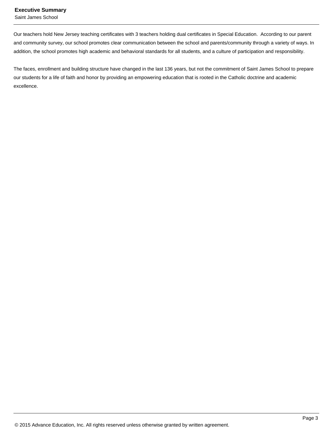#### **Executive Summary**

Saint James School

Our teachers hold New Jersey teaching certificates with 3 teachers holding dual certificates in Special Education. According to our parent and community survey, our school promotes clear communication between the school and parents/community through a variety of ways. In addition, the school promotes high academic and behavioral standards for all students, and a culture of participation and responsibility.

The faces, enrollment and building structure have changed in the last 136 years, but not the commitment of Saint James School to prepare our students for a life of faith and honor by providing an empowering education that is rooted in the Catholic doctrine and academic excellence.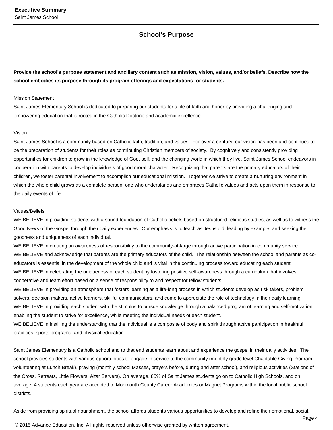### **School's Purpose**

**Provide the school's purpose statement and ancillary content such as mission, vision, values, and/or beliefs. Describe how the school embodies its purpose through its program offerings and expectations for students.**

#### Mission Statement

Saint James Elementary School is dedicated to preparing our students for a life of faith and honor by providing a challenging and empowering education that is rooted in the Catholic Doctrine and academic excellence.

#### Vision

Saint James School is a community based on Catholic faith, tradition, and values. For over a century, our vision has been and continues to be the preparation of students for their roles as contributing Christian members of society. By cognitively and consistently providing opportunities for children to grow in the knowledge of God, self, and the changing world in which they live, Saint James School endeavors in cooperation with parents to develop individuals of good moral character. Recognizing that parents are the primary educators of their children, we foster parental involvement to accomplish our educational mission. Together we strive to create a nurturing environment in which the whole child grows as a complete person, one who understands and embraces Catholic values and acts upon them in response to the daily events of life.

#### Values/Beliefs

WE BELIEVE in providing students with a sound foundation of Catholic beliefs based on structured religious studies, as well as to witness the Good News of the Gospel through their daily experiences. Our emphasis is to teach as Jesus did, leading by example, and seeking the goodness and uniqueness of each individual.

WE BELIEVE in creating an awareness of responsibility to the community-at-large through active participation in community service. WE BELIEVE and acknowledge that parents are the primary educators of the child. The relationship between the school and parents as coeducators is essential in the development of the whole child and is vital in the continuing process toward educating each student. WE BELIEVE in celebrating the uniqueness of each student by fostering positive self-awareness through a curriculum that involves cooperative and team effort based on a sense of responsibility to and respect for fellow students.

WE BELIEVE in providing an atmosphere that fosters learning as a life-long process in which students develop as risk takers, problem solvers, decision makers, active learners, skillful communicators, and come to appreciate the role of technology in their daily learning. WE BELIEVE in providing each student with the stimulus to pursue knowledge through a balanced program of learning and self-motivation, enabling the student to strive for excellence, while meeting the individual needs of each student.

WE BELIEVE in instilling the understanding that the individual is a composite of body and spirit through active participation in healthful practices, sports programs, and physical education.

Saint James Elementary is a Catholic school and to that end students learn about and experience the gospel in their daily activities. The school provides students with various opportunities to engage in service to the community (monthly grade level Charitable Giving Program, volunteering at Lunch Break), praying (monthly school Masses, prayers before, during and after school), and religious activities (Stations of the Cross, Retreats, Little Flowers, Altar Servers). On average, 85% of Saint James students go on to Catholic High Schools, and on average, 4 students each year are accepted to Monmouth County Career Academies or Magnet Programs within the local public school districts.

#### Aside from providing spiritual nourishment, the school affords students various opportunities to develop and refine their emotional, social,

© 2015 Advance Education, Inc. All rights reserved unless otherwise granted by written agreement.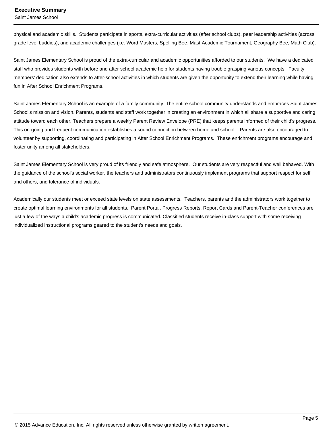Saint James School

physical and academic skills. Students participate in sports, extra-curricular activities (after school clubs), peer leadership activities (across grade level buddies), and academic challenges (i.e. Word Masters, Spelling Bee, Mast Academic Tournament, Geography Bee, Math Club).

Saint James Elementary School is proud of the extra-curricular and academic opportunities afforded to our students. We have a dedicated staff who provides students with before and after school academic help for students having trouble grasping various concepts. Faculty members' dedication also extends to after-school activities in which students are given the opportunity to extend their learning while having fun in After School Enrichment Programs.

Saint James Elementary School is an example of a family community. The entire school community understands and embraces Saint James School's mission and vision. Parents, students and staff work together in creating an environment in which all share a supportive and caring attitude toward each other. Teachers prepare a weekly Parent Review Envelope (PRE) that keeps parents informed of their child's progress. This on-going and frequent communication establishes a sound connection between home and school. Parents are also encouraged to volunteer by supporting, coordinating and participating in After School Enrichment Programs. These enrichment programs encourage and foster unity among all stakeholders.

Saint James Elementary School is very proud of its friendly and safe atmosphere. Our students are very respectful and well behaved. With the guidance of the school's social worker, the teachers and administrators continuously implement programs that support respect for self and others, and tolerance of individuals.

Academically our students meet or exceed state levels on state assessments. Teachers, parents and the administrators work together to create optimal learning environments for all students. Parent Portal, Progress Reports, Report Cards and Parent-Teacher conferences are just a few of the ways a child's academic progress is communicated. Classified students receive in-class support with some receiving individualized instructional programs geared to the student's needs and goals.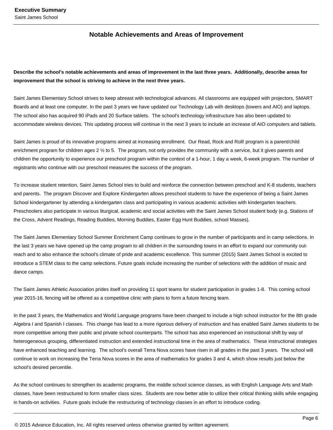### **Notable Achievements and Areas of Improvement**

**Describe the school's notable achievements and areas of improvement in the last three years. Additionally, describe areas for improvement that the school is striving to achieve in the next three years.**

Saint James Elementary School strives to keep abreast with technological advances. All classrooms are equipped with projectors, SMART Boards and at least one computer. In the past 3 years we have updated our Technology Lab with desktops (towers and AIO) and laptops. The school also has acquired 90 iPads and 20 Surface tablets. The school's technology infrastructure has also been updated to accommodate wireless devices. This updating process will continue in the next 3 years to include an increase of AIO computers and tablets.

Saint James is proud of its innovative programs aimed at increasing enrollment. Our Read, Rock and Roll! program is a parent/child enrichment program for children ages 2 ½ to 5. The program, not only provides the community with a service, but it gives parents and children the opportunity to experience our preschool program within the context of a 1-hour, 1 day a week, 6-week program. The number of registrants who continue with our preschool measures the success of the program.

To increase student retention, Saint James School tries to build and reinforce the connection between preschool and K-8 students, teachers and parents. The program Discover and Explore Kindergarten allows preschool students to have the experience of being a Saint James School kindergartener by attending a kindergarten class and participating in various academic activities with kindergarten teachers. Preschoolers also participate in various liturgical, academic and social activities with the Saint James School student body (e.g. Stations of the Cross, Advent Readings, Reading Buddies, Morning Buddies, Easter Egg Hunt Buddies, school Masses).

The Saint James Elementary School Summer Enrichment Camp continues to grow in the number of participants and in camp selections. In the last 3 years we have opened up the camp program to all children in the surrounding towns in an effort to expand our community outreach and to also enhance the school's climate of pride and academic excellence. This summer (2015) Saint James School is excited to introduce a STEM class to the camp selections. Future goals include increasing the number of selections with the addition of music and dance camps.

The Saint James Athletic Association prides itself on providing 11 sport teams for student participation in grades 1-8. This coming school year 2015-16, fencing will be offered as a competitive clinic with plans to form a future fencing team.

In the past 3 years, the Mathematics and World Language programs have been changed to include a high school instructor for the 8th grade Algebra I and Spanish I classes. This change has lead to a more rigorous delivery of instruction and has enabled Saint James students to be more competitive among their public and private school counterparts. The school has also experienced an instructional shift by way of heterogeneous grouping, differentiated instruction and extended instructional time in the area of mathematics. These instructional strategies have enhanced teaching and learning. The school's overall Terra Nova scores have risen in all grades in the past 3 years. The school will continue to work on increasing the Terra Nova scores in the area of mathematics for grades 3 and 4, which show results just below the school's desired percentile.

As the school continues to strengthen its academic programs, the middle school science classes, as with English Language Arts and Math classes, have been restructured to form smaller class sizes. Students are now better able to utilize their critical thinking skills while engaging in hands-on activities. Future goals include the restructuring of technology classes in an effort to introduce coding.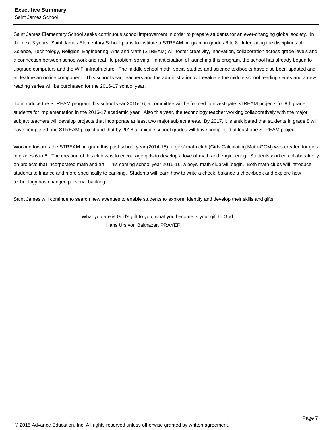#### **Executive Summary**

Saint James School

Saint James Elementary School seeks continuous school improvement in order to prepare students for an ever-changing global society. In the next 3 years, Saint James Elementary School plans to institute a STREAM program in grades 6 to 8. Integrating the disciplines of Science, Technology, Religion, Engineering, Arts and Math (STREAM) will foster creativity, innovation, collaboration across grade levels and a connection between schoolwork and real life problem solving. In anticipation of launching this program, the school has already begun to upgrade computers and the WiFi infrastructure. The middle school math, social studies and science textbooks have also been updated and all feature an online component. This school year, teachers and the administration will evaluate the middle school reading series and a new reading series will be purchased for the 2016-17 school year.

To introduce the STREAM program this school year 2015-16, a committee will be formed to investigate STREAM projects for 8th grade students for implementation in the 2016-17 academic year. Also this year, the technology teacher working collaboratively with the major subject teachers will develop projects that incorporate at least two major subject areas. By 2017, it is anticipated that students in grade 8 will have completed one STREAM project and that by 2018 all middle school grades will have completed at least one STREAM project.

Working towards the STREAM program this past school year (2014-15), a girls' math club (Girls Calculating Math-GCM) was created for girls in grades 6 to 8. The creation of this club was to encourage girls to develop a love of math and engineering. Students worked collaboratively on projects that incorporated math and art. This coming school year 2015-16, a boys' math club will begin. Both math clubs will introduce students to finance and more specifically to banking. Students will learn how to write a check, balance a checkbook and explore how technology has changed personal banking.

Saint James will continue to search new avenues to enable students to explore, identify and develop their skills and gifts.

 What you are is God's gift to you, what you become is your gift to God. Hans Urs von Balthazar, PRAYER